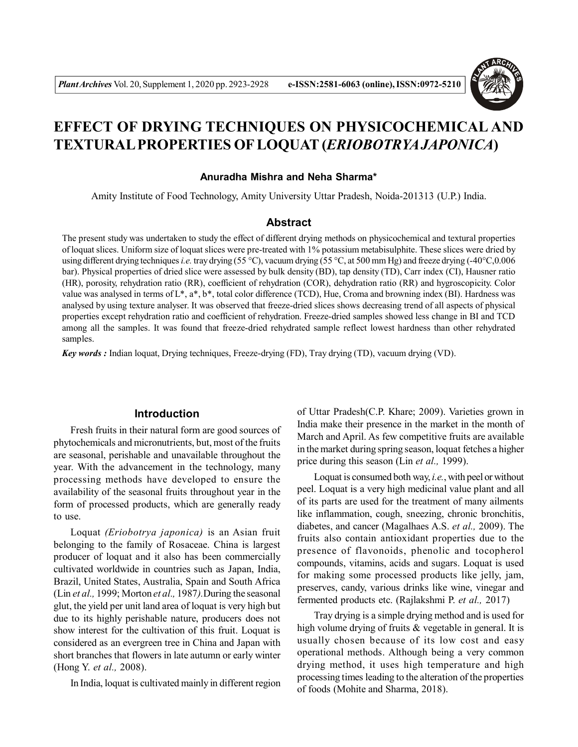

# **EFFECT OF DRYING TECHNIQUES ON PHYSICOCHEMICAL AND TEXTURAL PROPERTIES OF LOQUAT (***ERIOBOTRYA JAPONICA***)**

#### **Anuradha Mishra and Neha Sharma\***

Amity Institute of Food Technology, Amity University Uttar Pradesh, Noida-201313 (U.P.) India.

# **Abstract**

The present study was undertaken to study the effect of different drying methods on physicochemical and textural properties of loquat slices. Uniform size of loquat slices were pre-treated with 1% potassium metabisulphite. These slices were dried by using different drying techniques *i.e.* tray drying (55 °C), vacuum drying (55 °C, at 500 mm Hg) and freeze drying (-40°C,0.006 bar). Physical properties of dried slice were assessed by bulk density (BD), tap density (TD), Carr index (CI), Hausner ratio (HR), porosity, rehydration ratio (RR), coefficient of rehydration (COR), dehydration ratio (RR) and hygroscopicity. Color value was analysed in terms of L\*, a\*, b\*, total color difference (TCD), Hue, Croma and browning index (BI). Hardness was analysed by using texture analyser. It was observed that freeze-dried slices shows decreasing trend of all aspects of physical properties except rehydration ratio and coefficient of rehydration. Freeze-dried samples showed less change in BI and TCD among all the samples. It was found that freeze-dried rehydrated sample reflect lowest hardness than other rehydrated samples.

*Key words :* Indian loquat, Drying techniques, Freeze-drying (FD), Tray drying (TD), vacuum drying (VD).

## **Introduction**

Fresh fruits in their natural form are good sources of phytochemicals and micronutrients, but, most of the fruits are seasonal, perishable and unavailable throughout the year. With the advancement in the technology, many processing methods have developed to ensure the availability of the seasonal fruits throughout year in the form of processed products, which are generally ready to use.

Loquat *(Eriobotrya japonica)* is an Asian fruit belonging to the family of Rosaceae. China is largest producer of loquat and it also has been commercially cultivated worldwide in countries such as Japan, India, Brazil, United States, Australia, Spain and South Africa (Lin *et al.,* 1999; Morton *et al.,* 1987*).*During the seasonal glut, the yield per unit land area of loquat is very high but due to its highly perishable nature, producers does not show interest for the cultivation of this fruit. Loquat is considered as an evergreen tree in China and Japan with short branches that flowers in late autumn or early winter (Hong Y. *et al.,* 2008).

In India, loquat is cultivated mainly in different region

of Uttar Pradesh(C.P. Khare; 2009). Varieties grown in India make their presence in the market in the month of March and April. As few competitive fruits are available in the market during spring season, loquat fetches a higher price during this season (Lin *et al.,* 1999).

Loquat is consumed both way, *i.e.*, with peel or without peel. Loquat is a very high medicinal value plant and all of its parts are used for the treatment of many ailments like inflammation, cough, sneezing, chronic bronchitis, diabetes, and cancer (Magalhaes A.S. *et al.,* 2009). The fruits also contain antioxidant properties due to the presence of flavonoids, phenolic and tocopherol compounds, vitamins, acids and sugars. Loquat is used for making some processed products like jelly, jam, preserves, candy, various drinks like wine, vinegar and fermented products etc. (Rajlakshmi P. *et al.,* 2017)

Tray drying is a simple drying method and is used for high volume drying of fruits & vegetable in general. It is usually chosen because of its low cost and easy operational methods. Although being a very common drying method, it uses high temperature and high processing times leading to the alteration of the properties of foods (Mohite and Sharma, 2018).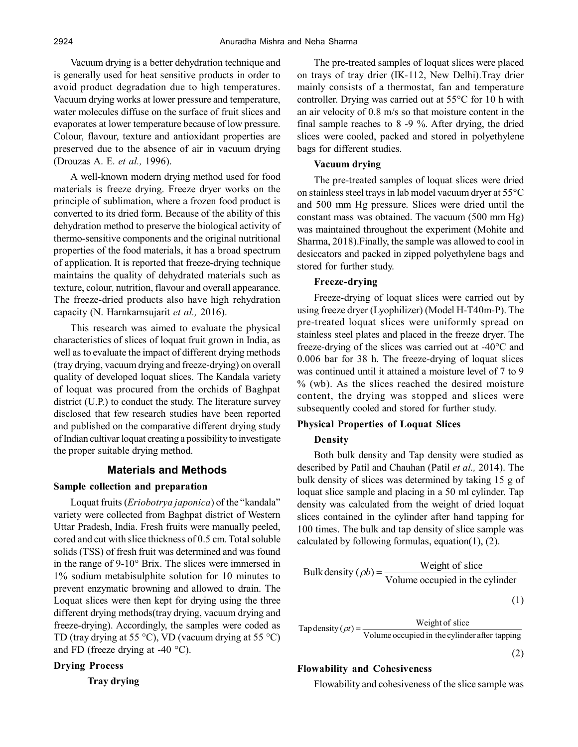Vacuum drying is a better dehydration technique and is generally used for heat sensitive products in order to avoid product degradation due to high temperatures. Vacuum drying works at lower pressure and temperature, water molecules diffuse on the surface of fruit slices and evaporates at lower temperature because of low pressure. Colour, flavour, texture and antioxidant properties are preserved due to the absence of air in vacuum drying (Drouzas A. E. *et al.,* 1996).

A well-known modern drying method used for food materials is freeze drying. Freeze dryer works on the principle of sublimation, where a frozen food product is converted to its dried form. Because of the ability of this dehydration method to preserve the biological activity of thermo-sensitive components and the original nutritional properties of the food materials, it has a broad spectrum of application. It is reported that freeze-drying technique maintains the quality of dehydrated materials such as texture, colour, nutrition, flavour and overall appearance. The freeze-dried products also have high rehydration capacity (N. Harnkarnsujarit *et al.,* 2016).

This research was aimed to evaluate the physical characteristics of slices of loquat fruit grown in India, as well as to evaluate the impact of different drying methods (tray drying, vacuum drying and freeze-drying) on overall quality of developed loquat slices. The Kandala variety of loquat was procured from the orchids of Baghpat district (U.P.) to conduct the study. The literature survey disclosed that few research studies have been reported and published on the comparative different drying study of Indian cultivar loquat creating a possibility to investigate the proper suitable drying method.

#### **Materials and Methods**

#### **Sample collection and preparation**

Loquat fruits (*Eriobotrya japonica*) of the "kandala" variety were collected from Baghpat district of Western Uttar Pradesh, India. Fresh fruits were manually peeled, cored and cut with slice thickness of 0.5 cm. Total soluble solids (TSS) of fresh fruit was determined and was found in the range of 9-10° Brix. The slices were immersed in 1% sodium metabisulphite solution for 10 minutes to prevent enzymatic browning and allowed to drain. The Loquat slices were then kept for drying using the three different drying methods(tray drying, vacuum drying and freeze-drying). Accordingly, the samples were coded as TD (tray drying at 55  $\degree$ C), VD (vacuum drying at 55  $\degree$ C) and FD (freeze drying at -40  $^{\circ}$ C).

## **Drying Process**

**Tray drying**

The pre-treated samples of loquat slices were placed on trays of tray drier (IK-112, New Delhi).Tray drier mainly consists of a thermostat, fan and temperature controller. Drying was carried out at 55°C for 10 h with an air velocity of 0.8 m/s so that moisture content in the final sample reaches to 8 -9 %. After drying, the dried slices were cooled, packed and stored in polyethylene bags for different studies.

#### **Vacuum drying**

The pre-treated samples of loquat slices were dried on stainless steel trays in lab model vacuum dryer at 55°C and 500 mm Hg pressure. Slices were dried until the constant mass was obtained. The vacuum (500 mm Hg) was maintained throughout the experiment (Mohite and Sharma, 2018).Finally, the sample was allowed to cool in desiccators and packed in zipped polyethylene bags and stored for further study.

#### **Freeze-drying**

Freeze-drying of loquat slices were carried out by using freeze dryer (Lyophilizer) (Model H-T40m-P). The pre-treated loquat slices were uniformly spread on stainless steel plates and placed in the freeze dryer. The freeze-drying of the slices was carried out at -40°C and 0.006 bar for 38 h. The freeze-drying of loquat slices was continued until it attained a moisture level of 7 to 9 % (wb). As the slices reached the desired moisture content, the drying was stopped and slices were subsequently cooled and stored for further study.

## **Physical Properties of Loquat Slices**

#### **Density**

Both bulk density and Tap density were studied as described by Patil and Chauhan (Patil *et al.,* 2014). The bulk density of slices was determined by taking 15 g of loquat slice sample and placing in a 50 ml cylinder. Tap density was calculated from the weight of dried loquat slices contained in the cylinder after hand tapping for 100 times. The bulk and tap density of slice sample was calculated by following formulas, equation(1), (2).

Bulk density (
$$
\rho b
$$
) =  $\frac{\text{Weight of slice}}{\text{Volume occupied in the cylinder}}$  (1)

Tap density  $(\rho t) = \frac{Weight of slice}{Volume occupied in the cylinder after tapping}$ 

$$
(2)
$$

#### **Flowability and Cohesiveness**

Flowability and cohesiveness of the slice sample was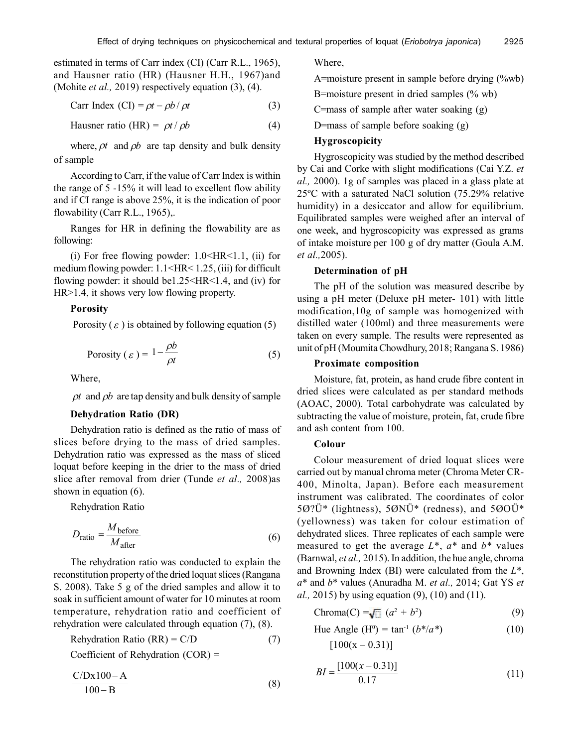estimated in terms of Carr index (CI) (Carr R.L., 1965), and Hausner ratio (HR) (Hausner H.H., 1967)and (Mohite *et al.,* 2019) respectively equation (3), (4).

$$
Carr Index (CI) = \rho t - \rho b / \rho t
$$
 (3)

Hausner ratio (HR) =  $\rho t / \rho b$  (4)

where,  $\rho t$  and  $\rho b$  are tap density and bulk density of sample

According to Carr, if the value of Carr Index is within the range of 5 -15% it will lead to excellent flow ability and if CI range is above 25%, it is the indication of poor flowability (Carr R.L., 1965),.

Ranges for HR in defining the flowability are as following:

(i) For free flowing powder:  $1.0 \leq HR \leq 1.1$ , (ii) for medium flowing powder: 1.1<HR< 1.25, (iii) for difficult flowing powder: it should be1.25<HR<1.4, and (iv) for HR>1.4, it shows very low flowing property.

## **Porosity**

Porosity ( $\varepsilon$ ) is obtained by following equation (5)

$$
Porosity (\varepsilon) = 1 - \frac{\rho b}{\rho t}
$$
 (5)

Where,

 $\rho t$  and  $\rho b$  are tap density and bulk density of sample

## **Dehydration Ratio (DR)**

Dehydration ratio is defined as the ratio of mass of slices before drying to the mass of dried samples. Dehydration ratio was expressed as the mass of sliced loquat before keeping in the drier to the mass of dried slice after removal from drier (Tunde *et al.,* 2008)as shown in equation (6).

Rehydration Ratio

$$
D_{\text{ratio}} = \frac{M_{\text{before}}}{M_{\text{after}}} \tag{6}
$$

The rehydration ratio was conducted to explain the reconstitution property of the dried loquat slices (Rangana S. 2008). Take 5 g of the dried samples and allow it to soak in sufficient amount of water for 10 minutes at room temperature, rehydration ratio and coefficient of rehydration were calculated through equation (7), (8).

Rehydration Ratio  $(RR) = C/D$  (7)

Coefficient of Rehydration (COR) =

$$
\frac{C/Dx100 - A}{100 - B} \tag{8}
$$

Where,

A=moisture present in sample before drying (%wb) B=moisture present in dried samples (% wb) C=mass of sample after water soaking (g)

D=mass of sample before soaking (g)

## **Hygroscopicity**

Hygroscopicity was studied by the method described by Cai and Corke with slight modifications (Cai Y.Z. *et al.,* 2000). 1g of samples was placed in a glass plate at 25ºC with a saturated NaCl solution (75.29% relative humidity) in a desiccator and allow for equilibrium. Equilibrated samples were weighed after an interval of one week, and hygroscopicity was expressed as grams of intake moisture per 100 g of dry matter (Goula A.M. *et al.,*2005).

## **Determination of pH**

The pH of the solution was measured describe by using a pH meter (Deluxe pH meter- 101) with little modification,10g of sample was homogenized with distilled water (100ml) and three measurements were taken on every sample. The results were represented as unit of pH (Moumita Chowdhury, 2018; Rangana S. 1986)

## **Proximate composition**

Moisture, fat, protein, as hand crude fibre content in dried slices were calculated as per standard methods (AOAC, 2000). Total carbohydrate was calculated by subtracting the value of moisture, protein, fat, crude fibre and ash content from 100.

#### **Colour**

Colour measurement of dried loquat slices were carried out by manual chroma meter (Chroma Meter CR-400, Minolta, Japan). Before each measurement instrument was calibrated. The coordinates of color 5Ø?Ü\* (lightness), 5ØNÜ\* (redness), and 5ØOÜ\* (yellowness) was taken for colour estimation of dehydrated slices. Three replicates of each sample were measured to get the average  $L^*$ ,  $a^*$  and  $b^*$  values (Barnwal, *et al.,* 2015). In addition, the hue angle, chroma and Browning Index (BI) were calculated from the *L*\*, *a*\* and *b*\* values (Anuradha M. *et al.,* 2014; Gat YS *et al.,* 2015) by using equation (9), (10) and (11).

$$
Chroma(C) = \sqrt{a^2 + b^2}
$$
 (9)

Hue Angle  $(H^0) = \tan^{-1} (b^*/a^*)$  (10)

 $[100(x - 0.31)]$ 

$$
BI = \frac{[100(x - 0.31)]}{0.17}
$$
 (11)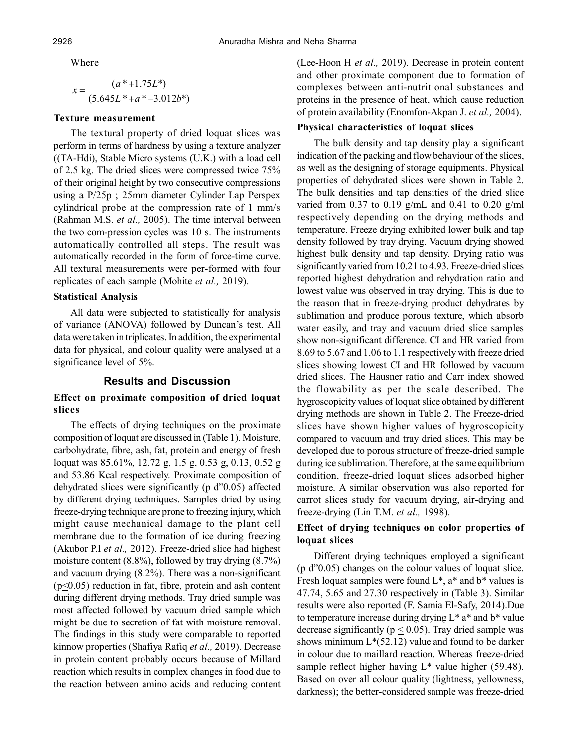Where

$$
x = \frac{(a*+1.75L^*)}{(5.645L^*+a*-3.012b^*)}
$$

# **Texture measurement**

The textural property of dried loquat slices was perform in terms of hardness by using a texture analyzer ((TA-Hdi), Stable Micro systems (U.K.) with a load cell of 2.5 kg. The dried slices were compressed twice 75% of their original height by two consecutive compressions using a P/25p ; 25mm diameter Cylinder Lap Perspex cylindrical probe at the compression rate of 1 mm/s (Rahman M.S. *et al.,* 2005). The time interval between the two com-pression cycles was  $10$  s. The instruments automatically controlled all steps. The result was automatically recorded in the form of force-time curve. All textural measurements were per-formed with four replicates of each sample (Mohite *et al.,* 2019).

# **Statistical Analysis**

All data were subjected to statistically for analysis of variance (ANOVA) followed by Duncan's test. All data were taken in triplicates. In addition, the experimental data for physical, and colour quality were analysed at a significance level of 5%.

# **Results and Discussion**

# **Effect on proximate composition of dried loquat slices**

The effects of drying techniques on the proximate composition of loquat are discussed in (Table 1). Moisture, carbohydrate, fibre, ash, fat, protein and energy of fresh loquat was 85.61%, 12.72 g, 1.5 g, 0.53 g, 0.13, 0.52 g and 53.86 Kcal respectively. Proximate composition of dehydrated slices were significantly (p d"0.05) affected by different drying techniques. Samples dried by using freeze-drying technique are prone to freezing injury, which might cause mechanical damage to the plant cell membrane due to the formation of ice during freezing (Akubor P.I *et al.,* 2012). Freeze-dried slice had highest moisture content (8.8%), followed by tray drying (8.7%) and vacuum drying (8.2%). There was a non-significant  $(p \le 0.05)$  reduction in fat, fibre, protein and ash content during different drying methods. Tray dried sample was most affected followed by vacuum dried sample which might be due to secretion of fat with moisture removal. The findings in this study were comparable to reported kinnow properties (Shafiya Rafiq *et al.,* 2019). Decrease in protein content probably occurs because of Millard reaction which results in complex changes in food due to the reaction between amino acids and reducing content

(Lee-Hoon H *et al.,* 2019). Decrease in protein content and other proximate component due to formation of complexes between anti-nutritional substances and proteins in the presence of heat, which cause reduction of protein availability (Enomfon-Akpan J. *et al.,* 2004).

# **Physical characteristics of loquat slices**

The bulk density and tap density play a significant indication of the packing and flow behaviour of the slices, as well as the designing of storage equipments. Physical properties of dehydrated slices were shown in Table 2. The bulk densities and tap densities of the dried slice varied from 0.37 to 0.19 g/mL and 0.41 to 0.20 g/ml respectively depending on the drying methods and temperature. Freeze drying exhibited lower bulk and tap density followed by tray drying. Vacuum drying showed highest bulk density and tap density. Drying ratio was significantly varied from 10.21 to 4.93. Freeze-dried slices reported highest dehydration and rehydration ratio and lowest value was observed in tray drying. This is due to the reason that in freeze-drying product dehydrates by sublimation and produce porous texture, which absorb water easily, and tray and vacuum dried slice samples show non-significant difference. CI and HR varied from 8.69 to 5.67 and 1.06 to 1.1 respectively with freeze dried slices showing lowest CI and HR followed by vacuum dried slices. The Hausner ratio and Carr index showed the flowability as per the scale described. The hygroscopicity values of loquat slice obtained by different drying methods are shown in Table 2. The Freeze-dried slices have shown higher values of hygroscopicity compared to vacuum and tray dried slices. This may be developed due to porous structure of freeze-dried sample during ice sublimation. Therefore, at the same equilibrium condition, freeze-dried loquat slices adsorbed higher moisture. A similar observation was also reported for carrot slices study for vacuum drying, air-drying and freeze-drying (Lin T.M. *et al.,* 1998).

# **Effect of drying techniques on color properties of loquat slices**

Different drying techniques employed a significant (p d"0.05) changes on the colour values of loquat slice. Fresh loquat samples were found  $L^*$ ,  $a^*$  and  $b^*$  values is 47.74, 5.65 and 27.30 respectively in (Table 3). Similar results were also reported (F. Samia El-Safy, 2014).Due to temperature increase during drying  $L^*$  a<sup>\*</sup> and  $b^*$  value decrease significantly ( $p \le 0.05$ ). Tray dried sample was shows minimum  $L^*(52.12)$  value and found to be darker in colour due to maillard reaction. Whereas freeze-dried sample reflect higher having L<sup>\*</sup> value higher (59.48). Based on over all colour quality (lightness, yellowness, darkness); the better-considered sample was freeze-dried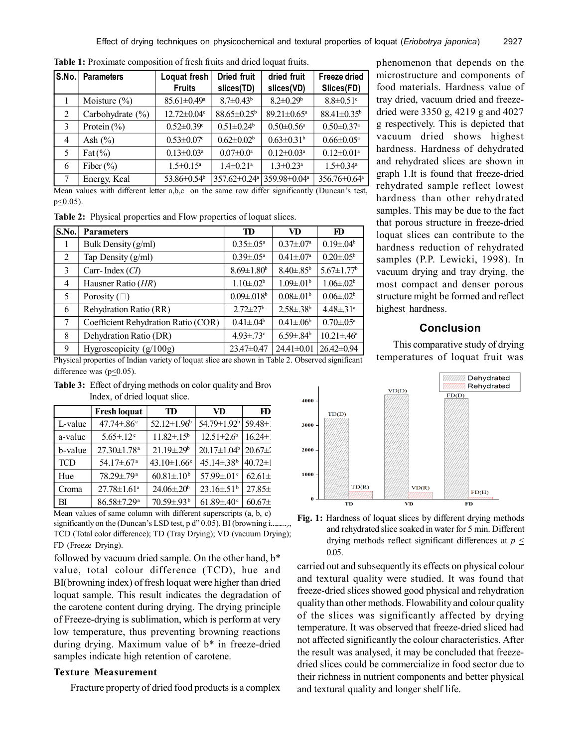| S.No. | <b>Parameters</b> | Loquat fresh<br><b>Fruits</b> | <b>Dried fruit</b><br>slices(TD) | dried fruit<br>slices(VD)    | Freeze dried<br>Slices(FD)   |
|-------|-------------------|-------------------------------|----------------------------------|------------------------------|------------------------------|
|       | Moisture $(\% )$  | $85.61 \pm 0.49$ <sup>a</sup> | $8.7 \pm 0.43^b$                 | $8.2 \pm 0.29$ <sup>b</sup>  | $8.8 \pm 0.51$ <sup>c</sup>  |
| 2     | Carbohydrate (%)  | $12.72 \pm 0.04$ c            | 88.65±0.25 <sup>b</sup>          | 89.21±0.65 <sup>a</sup>      | 88.41±0.35 <sup>b</sup>      |
| 3     | Protein $(\% )$   | $0.52 \pm 0.39$ °             | $0.51 \pm 0.24$ <sup>b</sup>     | $0.50 \pm 0.56$ <sup>a</sup> | $0.50 \pm 0.37$ <sup>a</sup> |
| 4     | Ash $(\% )$       | $0.53 \pm 0.07$ °             | $0.62 \pm 0.02$ <sup>b</sup>     | $0.63 \pm 0.31$ <sup>b</sup> | $0.66 \pm 0.05^{\text{a}}$   |
| 5     | Fat $(\% )$       | $0.13 \pm 0.03^a$             | $0.07 \pm 0.0^a$                 | $0.12 \pm 0.03^a$            | $0.12 \pm 0.01$ <sup>a</sup> |
| 6     | Fiber $(\% )$     | $1.5 \pm 0.15^a$              | $1.4 \pm 0.21$ <sup>a</sup>      | $1.3 \pm 0.23$ <sup>a</sup>  | $1.5 \pm 0.34$ <sup>a</sup>  |
| 7     | Energy, Kcal      | 53.86±0.54 <sup>b</sup>       | $357.62 \pm 0.24$ <sup>a</sup>   | 359.98±0.04 <sup>a</sup>     | 356.76±0.64 <sup>a</sup>     |

**Table 1:** Proximate composition of fresh fruits and dried loquat fruits.

Mean values with different letter a,b,c on the same row differ significantly (Duncan's test,  $p \leq 0.05$ ).

**Table 2:** Physical properties and Flow properties of loquat slices.

| S.No.          | <b>Parameters</b>                   | <b>TD</b>                     | VD                           | FD                           |
|----------------|-------------------------------------|-------------------------------|------------------------------|------------------------------|
| 1              | Bulk Density (g/ml)                 | $0.35 \pm 0.05^{\text{a}}$    | $0.37 \pm 0.07^{\rm a}$      | $0.19 \pm 0.4^{\circ}$       |
| 2              | Tap Density (g/ml)                  | $0.39 \pm 0.05^{\text{a}}$    | $0.41 \pm 0.07$ <sup>a</sup> | $0.20 \pm 0.05^b$            |
| 3              | Carr-Index $(Cl)$                   | $8.69 \pm 1.80$ <sup>b</sup>  | $8.40 \pm .85^b$             | $5.67 \pm 1.77$ <sup>b</sup> |
| $\overline{4}$ | Hausner Ratio (HR)                  | $1.10 \pm 0.02^b$             | $1.09 \pm .01$ <sup>b</sup>  | $1.06 \pm 0.02^b$            |
| 5              | Porosity $(\square)$                | $0.09 \pm 0.018$ <sup>b</sup> | $0.08 \pm 01^{b}$            | $0.06 \pm 0.02$ <sup>b</sup> |
| 6              | Rehydration Ratio (RR)              | $2.72 \pm 27$ <sup>b</sup>    | $2.58 \pm .38$ <sup>b</sup>  | $4.48 \pm .31$ <sup>a</sup>  |
| 7              | Coefficient Rehydration Ratio (COR) | $0.41 \pm 0.04$               | $0.41 \pm 0.06$              | $0.70 \pm 0.5^{\text{a}}$    |
| 8              | Dehydration Ratio (DR)              | $4.93 \pm .73$ °              | $6.59 \pm .84^b$             | $10.21 \pm 0.46^a$           |
| 9              | Hygroscopicity $(g/100g)$           | $23.47\pm0.47$                | 24.41±0.01                   | $26.42 \pm 0.94$             |

Physical properties of Indian variety of loquat slice are shown in Table 2. Observed significant difference was ( $p \le 0.05$ ).

| <b>Table 3:</b> Effect of drying methods on color quality and Brov |
|--------------------------------------------------------------------|
| Index, of dried loquat slice.                                      |

|            | <b>Fresh loquat</b>           | TD                            | VD                           | FD            |
|------------|-------------------------------|-------------------------------|------------------------------|---------------|
| L-value    | $47.74 \pm .86$ <sup>c</sup>  | 52.12 $\pm$ 1.96 <sup>b</sup> | 54.79±1.92 <sup>b</sup>      | $59.48 \pm 1$ |
| a-value    | $5.65 \pm .12$ <sup>c</sup>   | $11.82 \pm 15^{\circ}$        | $12.51 \pm 2.6^b$            | $16.24 \pm 1$ |
| b-value    | $27.30 \pm 1.78$ <sup>a</sup> | $21.19 \pm 29$ <sup>b</sup>   | $20.17 \pm 1.04^b$           | $20.67 \pm 2$ |
| <b>TCD</b> | $54.17 \pm .67$ <sup>a</sup>  | $43.10 \pm 1.66$ <sup>c</sup> | $45.14 \pm .38$ <sup>b</sup> | $40.72 \pm 1$ |
| Hue        | $78.29 \pm 79$ <sup>a</sup>   | $60.81 \pm 0.10^{b}$          | 57.99 $\pm$ 01 <sup>c</sup>  | $62.61 \pm$   |
| Croma      | $27.78 \pm 1.61$ <sup>a</sup> | $24.06 \pm 20^b$              | $23.16 \pm .51$ <sup>b</sup> | $27.85 \pm$   |
| BI         | $86.58 \pm 7.29$ <sup>a</sup> | 70.59±.93 <sup>b</sup>        | $61.89 \pm .40$ <sup>c</sup> | $60.67 \pm$   |

Mean values of same column with different superscripts  $(a, b, c)$ significantly on the (Duncan's LSD test, p d" 0.05). BI (browning index), TCD (Total color difference); TD (Tray Drying); VD (vacuum Drying); FD (Freeze Drying).

followed by vacuum dried sample. On the other hand,  $b^*$  0.05. value, total colour difference (TCD), hue and BI(browning index) of fresh loquat were higher than dried loquat sample. This result indicates the degradation of the carotene content during drying. The drying principle of Freeze-drying is sublimation, which is perform at very low temperature, thus preventing browning reactions during drying. Maximum value of b\* in freeze-dried samples indicate high retention of carotene.

#### **Texture Measurement**

Fracture property of dried food products is a complex

phenomenon that depends on the microstructure and components of food materials. Hardness value of tray dried, vacuum dried and freezedried were 3350 g, 4219 g and 4027 g respectively. This is depicted that vacuum dried shows highest hardness. Hardness of dehydrated and rehydrated slices are shown in graph 1.It is found that freeze-dried rehydrated sample reflect lowest hardness than other rehydrated samples. This may be due to the fact that porous structure in freeze-dried loquat slices can contribute to the hardness reduction of rehydrated samples (P.P. Lewicki, 1998). In vacuum drying and tray drying, the most compact and denser porous structure might be formed and reflect highest hardness.

# **Conclusion**

This comparative study of drying temperatures of loquat fruit was



**Fig. 1:** Hardness of loquat slices by different drying methods and rehydrated slice soaked in water for 5 min. Different drying methods reflect significant differences at  $p \leq$ 

carried out and subsequently its effects on physical colour and textural quality were studied. It was found that freeze-dried slices showed good physical and rehydration quality than other methods. Flowability and colour quality of the slices was significantly affected by drying temperature. It was observed that freeze-dried sliced had not affected significantly the colour characteristics. After the result was analysed, it may be concluded that freezedried slices could be commercialize in food sector due to their richness in nutrient components and better physical and textural quality and longer shelf life.